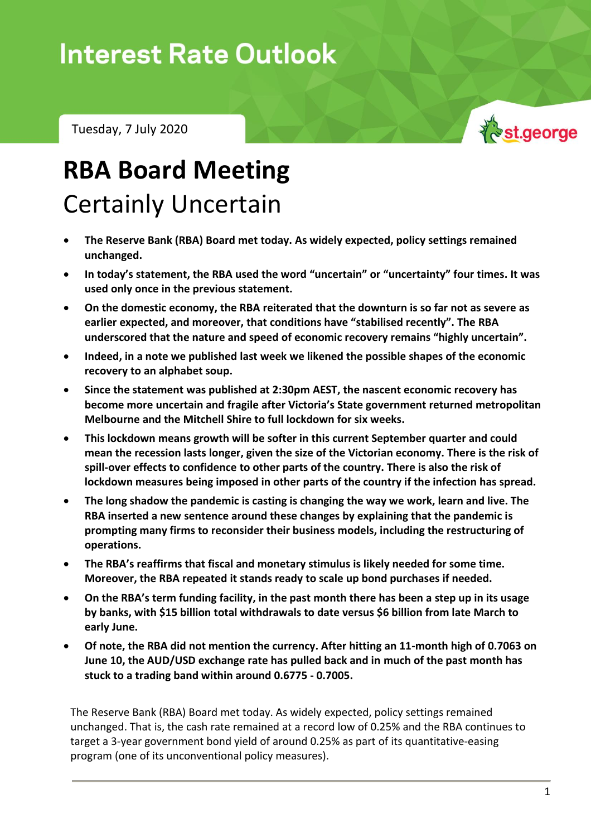## **Interest Rate Outlook**

Tuesday, 7 July 2020



# **RBA Board Meeting** Certainly Uncertain

- **The Reserve Bank (RBA) Board met today. As widely expected, policy settings remained unchanged.**
- **In today's statement, the RBA used the word "uncertain" or "uncertainty" four times. It was used only once in the previous statement.**
- **On the domestic economy, the RBA reiterated that the downturn is so far not as severe as earlier expected, and moreover, that conditions have "stabilised recently". The RBA underscored that the nature and speed of economic recovery remains "highly uncertain".**
- **Indeed, in a note we published last week we likened the possible shapes of the economic recovery to an alphabet soup.**
- **Since the statement was published at 2:30pm AEST, the nascent economic recovery has become more uncertain and fragile after Victoria's State government returned metropolitan Melbourne and the Mitchell Shire to full lockdown for six weeks.**
- **This lockdown means growth will be softer in this current September quarter and could mean the recession lasts longer, given the size of the Victorian economy. There is the risk of spill-over effects to confidence to other parts of the country. There is also the risk of lockdown measures being imposed in other parts of the country if the infection has spread.**
- **The long shadow the pandemic is casting is changing the way we work, learn and live. The RBA inserted a new sentence around these changes by explaining that the pandemic is prompting many firms to reconsider their business models, including the restructuring of operations.**
- **The RBA's reaffirms that fiscal and monetary stimulus is likely needed for some time. Moreover, the RBA repeated it stands ready to scale up bond purchases if needed.**
- **On the RBA's term funding facility, in the past month there has been a step up in its usage by banks, with \$15 billion total withdrawals to date versus \$6 billion from late March to early June.**
- **Of note, the RBA did not mention the currency. After hitting an 11-month high of 0.7063 on June 10, the AUD/USD exchange rate has pulled back and in much of the past month has stuck to a trading band within around 0.6775 - 0.7005.**

The Reserve Bank (RBA) Board met today. As widely expected, policy settings remained unchanged. That is, the cash rate remained at a record low of 0.25% and the RBA continues to target a 3-year government bond yield of around 0.25% as part of its quantitative-easing program (one of its unconventional policy measures).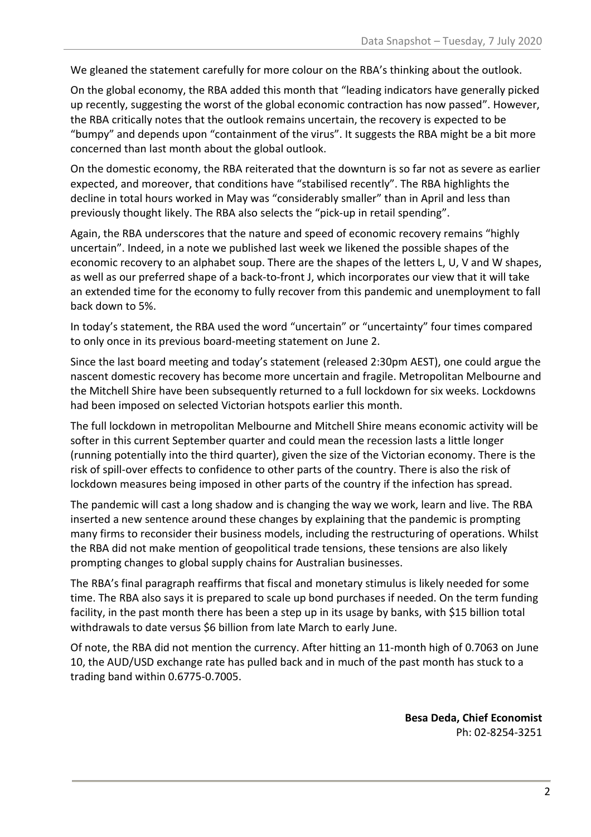We gleaned the statement carefully for more colour on the RBA's thinking about the outlook.

On the global economy, the RBA added this month that "leading indicators have generally picked up recently, suggesting the worst of the global economic contraction has now passed". However, the RBA critically notes that the outlook remains uncertain, the recovery is expected to be "bumpy" and depends upon "containment of the virus". It suggests the RBA might be a bit more concerned than last month about the global outlook.

On the domestic economy, the RBA reiterated that the downturn is so far not as severe as earlier expected, and moreover, that conditions have "stabilised recently". The RBA highlights the decline in total hours worked in May was "considerably smaller" than in April and less than previously thought likely. The RBA also selects the "pick-up in retail spending".

Again, the RBA underscores that the nature and speed of economic recovery remains "highly uncertain". Indeed, in a note we published last week we likened the possible shapes of the economic recovery to an alphabet soup. There are the shapes of the letters L, U, V and W shapes, as well as our preferred shape of a back-to-front J, which incorporates our view that it will take an extended time for the economy to fully recover from this pandemic and unemployment to fall back down to 5%.

In today's statement, the RBA used the word "uncertain" or "uncertainty" four times compared to only once in its previous board-meeting statement on June 2.

Since the last board meeting and today's statement (released 2:30pm AEST), one could argue the nascent domestic recovery has become more uncertain and fragile. Metropolitan Melbourne and the Mitchell Shire have been subsequently returned to a full lockdown for six weeks. Lockdowns had been imposed on selected Victorian hotspots earlier this month.

The full lockdown in metropolitan Melbourne and Mitchell Shire means economic activity will be softer in this current September quarter and could mean the recession lasts a little longer (running potentially into the third quarter), given the size of the Victorian economy. There is the risk of spill-over effects to confidence to other parts of the country. There is also the risk of lockdown measures being imposed in other parts of the country if the infection has spread.

The pandemic will cast a long shadow and is changing the way we work, learn and live. The RBA inserted a new sentence around these changes by explaining that the pandemic is prompting many firms to reconsider their business models, including the restructuring of operations. Whilst the RBA did not make mention of geopolitical trade tensions, these tensions are also likely prompting changes to global supply chains for Australian businesses.

The RBA's final paragraph reaffirms that fiscal and monetary stimulus is likely needed for some time. The RBA also says it is prepared to scale up bond purchases if needed. On the term funding facility, in the past month there has been a step up in its usage by banks, with \$15 billion total withdrawals to date versus \$6 billion from late March to early June.

Of note, the RBA did not mention the currency. After hitting an 11-month high of 0.7063 on June 10, the AUD/USD exchange rate has pulled back and in much of the past month has stuck to a trading band within 0.6775-0.7005.

> **Besa Deda, Chief Economist** Ph: 02-8254-3251